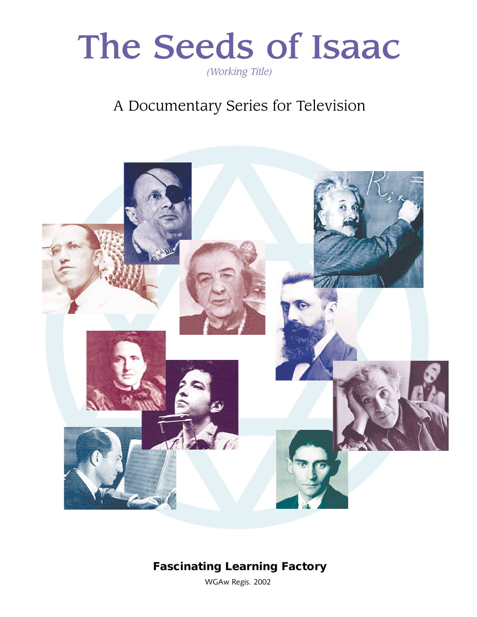

## A Documentary Series for Television



### **Fascinating Learning Factory**

WGAw Regis. 2002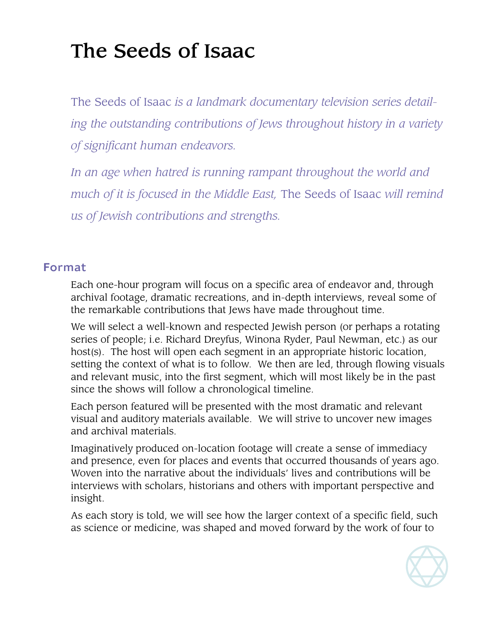# The Seeds of Isaac

The Seeds of Isaac *is a landmark documentary television series detailing the outstanding contributions of Jews throughout history in a variety of significant human endeavors.* 

*In an age when hatred is running rampant throughout the world and much of it is focused in the Middle East,* The Seeds of Isaac *will remind us of Jewish contributions and strengths.*

#### Format

Each one-hour program will focus on a specific area of endeavor and, through archival footage, dramatic recreations, and in-depth interviews, reveal some of the remarkable contributions that Jews have made throughout time.

We will select a well-known and respected Jewish person (or perhaps a rotating series of people; i.e. Richard Dreyfus, Winona Ryder, Paul Newman, etc.) as our host(s). The host will open each segment in an appropriate historic location, setting the context of what is to follow. We then are led, through flowing visuals and relevant music, into the first segment, which will most likely be in the past since the shows will follow a chronological timeline.

Each person featured will be presented with the most dramatic and relevant visual and auditory materials available. We will strive to uncover new images and archival materials.

Imaginatively produced on-location footage will create a sense of immediacy and presence, even for places and events that occurred thousands of years ago. Woven into the narrative about the individuals' lives and contributions will be interviews with scholars, historians and others with important perspective and insight.

As each story is told, we will see how the larger context of a specific field, such as science or medicine, was shaped and moved forward by the work of four to

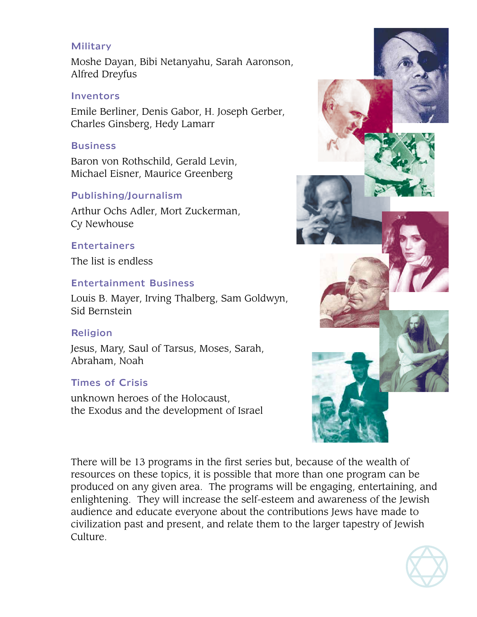#### Military

Moshe Dayan, Bibi Netanyahu, Sarah Aaronson, Alfred Dreyfus

#### Inventors

Emile Berliner, Denis Gabor, H. Joseph Gerber, Charles Ginsberg, Hedy Lamarr

#### **Business**

Baron von Rothschild, Gerald Levin, Michael Eisner, Maurice Greenberg

#### Publishing/Journalism

Arthur Ochs Adler, Mort Zuckerman, Cy Newhouse

#### Entertainers

The list is endless

#### Entertainment Business

Louis B. Mayer, Irving Thalberg, Sam Goldwyn, Sid Bernstein

#### **Religion**

Jesus, Mary, Saul of Tarsus, Moses, Sarah, Abraham, Noah

#### Times of Crisis

unknown heroes of the Holocaust, the Exodus and the development of Israel



There will be 13 programs in the first series but, because of the wealth of resources on these topics, it is possible that more than one program can be produced on any given area. The programs will be engaging, entertaining, and enlightening. They will increase the self-esteem and awareness of the Jewish audience and educate everyone about the contributions Jews have made to civilization past and present, and relate them to the larger tapestry of Jewish Culture.

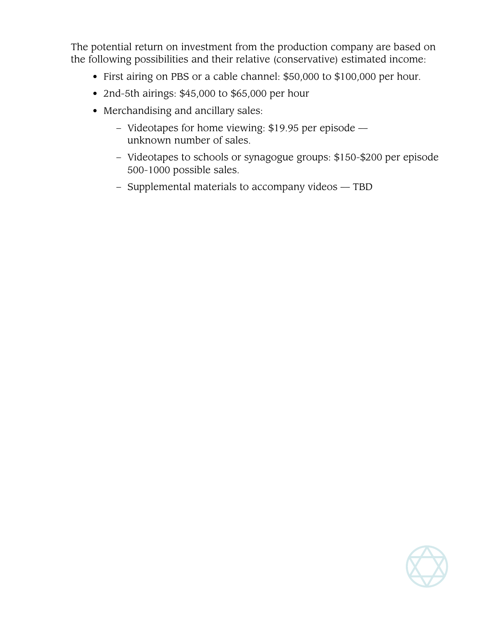The potential return on investment from the production company are based on the following possibilities and their relative (conservative) estimated income:

- First airing on PBS or a cable channel: \$50,000 to \$100,000 per hour.
- 2nd-5th airings: \$45,000 to \$65,000 per hour
- Merchandising and ancillary sales:
	- Videotapes for home viewing: \$19.95 per episode unknown number of sales.
	- Videotapes to schools or synagogue groups: \$150-\$200 per episode 500-1000 possible sales.
	- Supplemental materials to accompany videos TBD